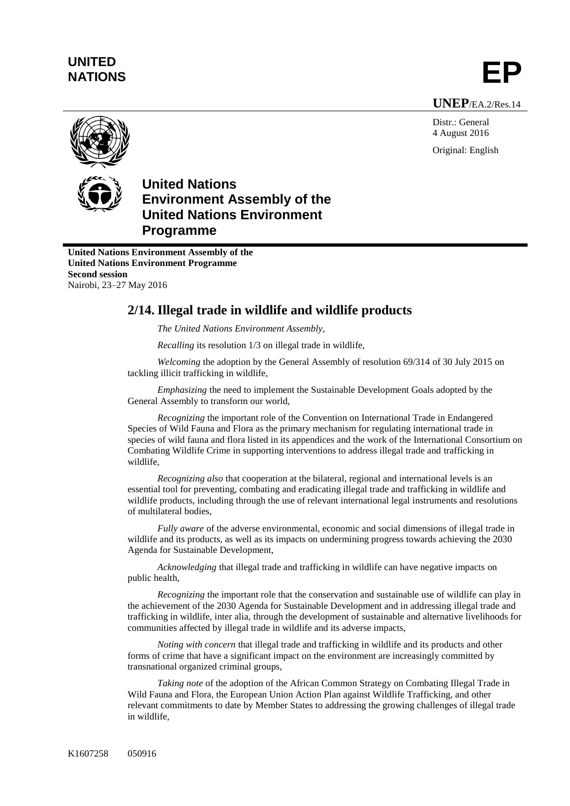## **UNITED** UNITED<br>NATIONS **EP**

**UNEP**/EA.2/Res.14

Distr.: General 4 August 2016 Original: English



## **United Nations Environment Assembly of the United Nations Environment Programme**

**United Nations Environment Assembly of the United Nations Environment Programme Second session** Nairobi, 23–27 May 2016

## **2/14. Illegal trade in wildlife and wildlife products**

*The United Nations Environment Assembly,*

*Recalling* its resolution 1/3 on illegal trade in wildlife,

*Welcoming* the adoption by the General Assembly of resolution 69/314 of 30 July 2015 on tackling illicit trafficking in wildlife,

*Emphasizing* the need to implement the Sustainable Development Goals adopted by the General Assembly to transform our world,

*Recognizing* the important role of the Convention on International Trade in Endangered Species of Wild Fauna and Flora as the primary mechanism for regulating international trade in species of wild fauna and flora listed in its appendices and the work of the International Consortium on Combating Wildlife Crime in supporting interventions to address illegal trade and trafficking in wildlife,

*Recognizing also* that cooperation at the bilateral, regional and international levels is an essential tool for preventing, combating and eradicating illegal trade and trafficking in wildlife and wildlife products, including through the use of relevant international legal instruments and resolutions of multilateral bodies,

*Fully aware* of the adverse environmental, economic and social dimensions of illegal trade in wildlife and its products, as well as its impacts on undermining progress towards achieving the 2030 Agenda for Sustainable Development,

*Acknowledging* that illegal trade and trafficking in wildlife can have negative impacts on public health,

*Recognizing* the important role that the conservation and sustainable use of wildlife can play in the achievement of the 2030 Agenda for Sustainable Development and in addressing illegal trade and trafficking in wildlife, inter alia, through the development of sustainable and alternative livelihoods for communities affected by illegal trade in wildlife and its adverse impacts,

*Noting with concern* that illegal trade and trafficking in wildlife and its products and other forms of crime that have a significant impact on the environment are increasingly committed by transnational organized criminal groups,

*Taking note* of the adoption of the African Common Strategy on Combating Illegal Trade in Wild Fauna and Flora, the European Union Action Plan against Wildlife Trafficking, and other relevant commitments to date by Member States to addressing the growing challenges of illegal trade in wildlife,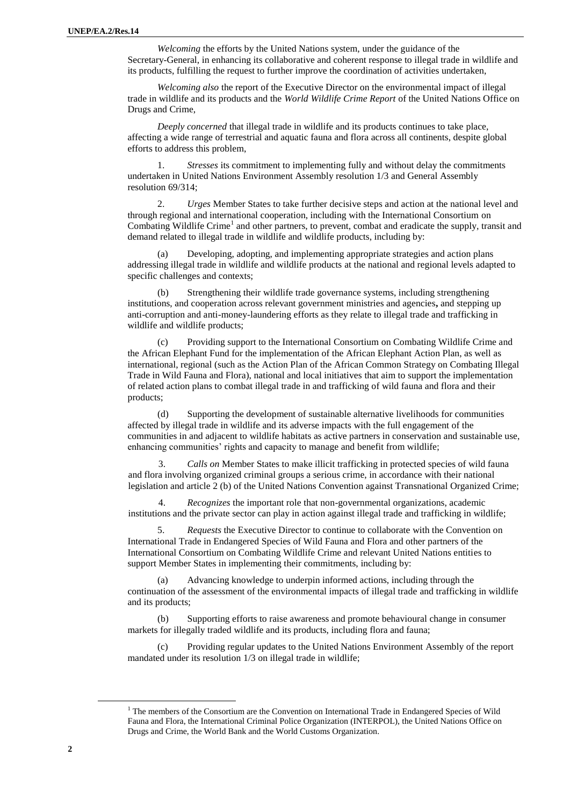*Welcoming* the efforts by the United Nations system, under the guidance of the Secretary-General, in enhancing its collaborative and coherent response to illegal trade in wildlife and its products, fulfilling the request to further improve the coordination of activities undertaken,

*Welcoming also* the report of the Executive Director on the environmental impact of illegal trade in wildlife and its products and the *World Wildlife Crime Report* of the United Nations Office on Drugs and Crime,

*Deeply concerned* that illegal trade in wildlife and its products continues to take place, affecting a wide range of terrestrial and aquatic fauna and flora across all continents, despite global efforts to address this problem,

1. *Stresses* its commitment to implementing fully and without delay the commitments undertaken in United Nations Environment Assembly resolution 1/3 and General Assembly resolution 69/314;

2. *Urges* Member States to take further decisive steps and action at the national level and through regional and international cooperation, including with the International Consortium on Combating Wildlife Crime<sup>1</sup> and other partners, to prevent, combat and eradicate the supply, transit and demand related to illegal trade in wildlife and wildlife products, including by:

(a) Developing, adopting, and implementing appropriate strategies and action plans addressing illegal trade in wildlife and wildlife products at the national and regional levels adapted to specific challenges and contexts;

(b) Strengthening their wildlife trade governance systems, including strengthening institutions, and cooperation across relevant government ministries and agencies**,** and stepping up anti-corruption and anti-money-laundering efforts as they relate to illegal trade and trafficking in wildlife and wildlife products;

(c) Providing support to the International Consortium on Combating Wildlife Crime and the African Elephant Fund for the implementation of the African Elephant Action Plan, as well as international, regional (such as the Action Plan of the African Common Strategy on Combating Illegal Trade in Wild Fauna and Flora), national and local initiatives that aim to support the implementation of related action plans to combat illegal trade in and trafficking of wild fauna and flora and their products;

(d) Supporting the development of sustainable alternative livelihoods for communities affected by illegal trade in wildlife and its adverse impacts with the full engagement of the communities in and adjacent to wildlife habitats as active partners in conservation and sustainable use, enhancing communities' rights and capacity to manage and benefit from wildlife;

3. *Calls on* Member States to make illicit trafficking in protected species of wild fauna and flora involving organized criminal groups a serious crime, in accordance with their national legislation and article 2 (b) of the United Nations Convention against Transnational Organized Crime;

4. *Recognizes* the important role that non-governmental organizations, academic institutions and the private sector can play in action against illegal trade and trafficking in wildlife;

5. *Requests* the Executive Director to continue to collaborate with the Convention on International Trade in Endangered Species of Wild Fauna and Flora and other partners of the International Consortium on Combating Wildlife Crime and relevant United Nations entities to support Member States in implementing their commitments, including by:

(a) Advancing knowledge to underpin informed actions, including through the continuation of the assessment of the environmental impacts of illegal trade and trafficking in wildlife and its products;

(b) Supporting efforts to raise awareness and promote behavioural change in consumer markets for illegally traded wildlife and its products, including flora and fauna;

(c) Providing regular updates to the United Nations Environment Assembly of the report mandated under its resolution 1/3 on illegal trade in wildlife;

 $\overline{a}$ 

<sup>&</sup>lt;sup>1</sup> The members of the Consortium are the Convention on International Trade in Endangered Species of Wild Fauna and Flora, the International Criminal Police Organization (INTERPOL), the United Nations Office on Drugs and Crime, the World Bank and the World Customs Organization.